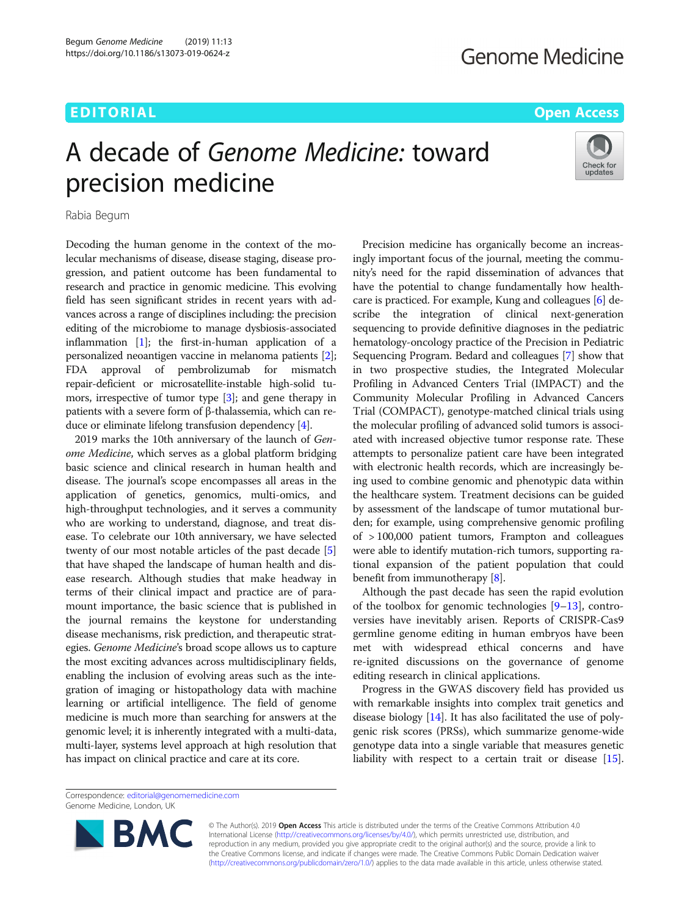## EDITORIAL AND INTERNATIONAL CONTRACT CONTRACT CONTRACT CONTRACT CONTRACT CONTRACT CONTRACT CONTRACT CONTRACT CO

# A decade of Genome Medicine: toward precision medicine



Rabia Begum

Decoding the human genome in the context of the molecular mechanisms of disease, disease staging, disease progression, and patient outcome has been fundamental to research and practice in genomic medicine. This evolving field has seen significant strides in recent years with advances across a range of disciplines including: the precision editing of the microbiome to manage dysbiosis-associated inflammation  $[1]$ ; the first-in-human application of a personalized neoantigen vaccine in melanoma patients [[2](#page-1-0)]; FDA approval of pembrolizumab for mismatch repair-deficient or microsatellite-instable high-solid tumors, irrespective of tumor type [\[3](#page-1-0)]; and gene therapy in patients with a severe form of β-thalassemia, which can reduce or eliminate lifelong transfusion dependency [[4\]](#page-1-0).

2019 marks the 10th anniversary of the launch of Genome Medicine, which serves as a global platform bridging basic science and clinical research in human health and disease. The journal's scope encompasses all areas in the application of genetics, genomics, multi-omics, and high-throughput technologies, and it serves a community who are working to understand, diagnose, and treat disease. To celebrate our 10th anniversary, we have selected twenty of our most notable articles of the past decade [[5](#page-1-0)] that have shaped the landscape of human health and disease research. Although studies that make headway in terms of their clinical impact and practice are of paramount importance, the basic science that is published in the journal remains the keystone for understanding disease mechanisms, risk prediction, and therapeutic strategies. Genome Medicine's broad scope allows us to capture the most exciting advances across multidisciplinary fields, enabling the inclusion of evolving areas such as the integration of imaging or histopathology data with machine learning or artificial intelligence. The field of genome medicine is much more than searching for answers at the genomic level; it is inherently integrated with a multi-data, multi-layer, systems level approach at high resolution that has impact on clinical practice and care at its core.

Precision medicine has organically become an increasingly important focus of the journal, meeting the community's need for the rapid dissemination of advances that have the potential to change fundamentally how healthcare is practiced. For example, Kung and colleagues [\[6](#page-1-0)] describe the integration of clinical next-generation sequencing to provide definitive diagnoses in the pediatric hematology-oncology practice of the Precision in Pediatric Sequencing Program. Bedard and colleagues [\[7](#page-1-0)] show that in two prospective studies, the Integrated Molecular Profiling in Advanced Centers Trial (IMPACT) and the Community Molecular Profiling in Advanced Cancers Trial (COMPACT), genotype-matched clinical trials using the molecular profiling of advanced solid tumors is associated with increased objective tumor response rate. These attempts to personalize patient care have been integrated with electronic health records, which are increasingly being used to combine genomic and phenotypic data within the healthcare system. Treatment decisions can be guided by assessment of the landscape of tumor mutational burden; for example, using comprehensive genomic profiling of > 100,000 patient tumors, Frampton and colleagues were able to identify mutation-rich tumors, supporting rational expansion of the patient population that could benefit from immunotherapy [\[8](#page-1-0)].

Although the past decade has seen the rapid evolution of the toolbox for genomic technologies  $[9-13]$  $[9-13]$  $[9-13]$  $[9-13]$  $[9-13]$ , controversies have inevitably arisen. Reports of CRISPR-Cas9 germline genome editing in human embryos have been met with widespread ethical concerns and have re-ignited discussions on the governance of genome editing research in clinical applications.

Progress in the GWAS discovery field has provided us with remarkable insights into complex trait genetics and disease biology [\[14\]](#page-1-0). It has also facilitated the use of polygenic risk scores (PRSs), which summarize genome-wide genotype data into a single variable that measures genetic liability with respect to a certain trait or disease [[15](#page-1-0)].

Correspondence: [editorial@genomemedicine.com](mailto:editorial@genomemedicine.com) Genome Medicine, London, UK



© The Author(s). 2019 **Open Access** This article is distributed under the terms of the Creative Commons Attribution 4.0 International License [\(http://creativecommons.org/licenses/by/4.0/](http://creativecommons.org/licenses/by/4.0/)), which permits unrestricted use, distribution, and reproduction in any medium, provided you give appropriate credit to the original author(s) and the source, provide a link to the Creative Commons license, and indicate if changes were made. The Creative Commons Public Domain Dedication waiver [\(http://creativecommons.org/publicdomain/zero/1.0/](http://creativecommons.org/publicdomain/zero/1.0/)) applies to the data made available in this article, unless otherwise stated.